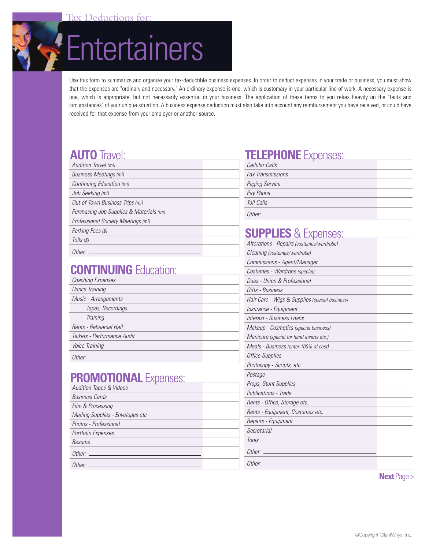



Use this form to summarize and organize your tax-deductible business expenses. In order to deduct expenses in your trade or business, you must show that the expenses are "ordinary and necessary." An ordinary expense is one, which is customary in your particular line of work. A necessary expense is one, which is appropriate, but not necessarily essential in your business. The application of these terms to you relies heavily on the "facts and circumstances" of your unique situation. A business expense deduction must also take into account any reimbursement you have received, or could have received for that expense from your employer or another source.

## **AUTO** Travel:

| Audition Travel (mi)                     |  |
|------------------------------------------|--|
| <b>Business Meetings (mi)</b>            |  |
| Continuing Education (mi)                |  |
| Job Seeking (mi)                         |  |
| Out-of-Town Business Trips (mi)          |  |
| Purchasing Job Supplies & Materials (mi) |  |
| Professional Society Meetings (mi)       |  |
| Parking Fees (\$)                        |  |
| Tolls (\$)                               |  |
|                                          |  |

Other:

## **CONTINUING** Education:

| Coaching Expenses           |  |
|-----------------------------|--|
| Dance Training              |  |
| Music - Arrangements        |  |
| Tapes, Recordings           |  |
| Training                    |  |
| Rents - Rehearsal Hall      |  |
| Tickets - Performance Audit |  |
| Voice Training              |  |
| Other:                      |  |

#### **PROMOTIONAL Expenses:**

| <b>Audition Tapes &amp; Videos</b> |  |
|------------------------------------|--|
| <b>Business Cards</b>              |  |
| Film & Processing                  |  |
| Mailing Supplies - Envelopes etc.  |  |
| Photos - Professional              |  |
| Portfolio Expenses                 |  |
| Resumé                             |  |
| Other:                             |  |
| Other:                             |  |

### **TELEPHONE** Expenses:

| Cellular Calls           |  |
|--------------------------|--|
| <b>Fax Transmissions</b> |  |
| <b>Paging Service</b>    |  |
| Pay Phone                |  |
| Toll Calls               |  |
| Other:                   |  |

# **SUPPLIES** & Expenses:

| Alterations - Repairs (costumes/wardrobe)      |  |
|------------------------------------------------|--|
| Cleaning (costumes/wardrobe)                   |  |
| Commissions - Agent/Manager                    |  |
| Costumes - Wardrobe (special)                  |  |
| Dues - Union & Professional                    |  |
| Gifts - Business                               |  |
| Hair Care - Wigs & Supplies (special business) |  |
| Insurance - Equipment                          |  |
| Interest - Business Loans                      |  |
| Makeup - Cosmetics (special business)          |  |
| Manicure (special for hand inserts etc.)       |  |
| Meals - Business (enter 100% of cost)          |  |
| Office Supplies                                |  |
| Photocopy - Scripts, etc.                      |  |
| Postage                                        |  |
| Props, Stunt Supplies                          |  |
| Publications - Trade                           |  |
| Rents - Office, Storage etc.                   |  |
| Rents - Equipment, Costumes etc.               |  |
| Repairs - Equipment                            |  |
| Secretarial                                    |  |
| <b>Tools</b>                                   |  |
| Other:                                         |  |
| Other:                                         |  |

**Next** Page >